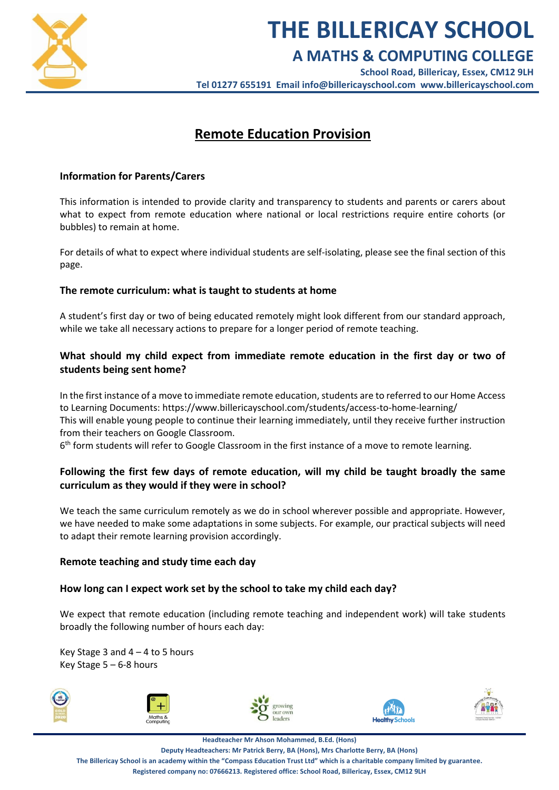

# **THE BILLERICAY SCHOOL**

# **A MATHS & COMPUTING COLLEGE**

**School Road, Billericay, Essex, CM12 9LH Tel 01277 655191 Email [info@billericayschool.com](mailto:info@billericayschool.com) [www.billericayschool.com](http://www.billericayschool.com/)**

# **Remote Education Provision**

# **Information for Parents/Carers**

This information is intended to provide clarity and transparency to students and parents or carers about what to expect from remote education where national or local restrictions require entire cohorts (or bubbles) to remain at home.

For details of what to expect where individual students are self-isolating, please see the final section of this page.

# **The remote curriculum: what is taught to students at home**

A student's first day or two of being educated remotely might look different from our standard approach, while we take all necessary actions to prepare for a longer period of remote teaching.

# **What should my child expect from immediate remote education in the first day or two of students being sent home?**

In the first instance of a move to immediate remote education, students are to referred to our Home Access to Learning Documents:<https://www.billericayschool.com/students/access-to-home-learning/> This will enable young people to continue their learning immediately, until they receive further instruction from their teachers on Google Classroom.

6<sup>th</sup> form students will refer to Google Classroom in the first instance of a move to remote learning.

# **Following the first few days of remote education, will my child be taught broadly the same curriculum as they would if they were in school?**

We teach the same curriculum remotely as we do in school wherever possible and appropriate. However, we have needed to make some adaptations in some subjects. For example, our practical subjects will need to adapt their remote learning provision accordingly.

# **Remote teaching and study time each day**

# **How long can I expect work set by the school to take my child each day?**

We expect that remote education (including remote teaching and independent work) will take students broadly the following number of hours each day:

Key Stage 3 and  $4 - 4$  to 5 hours Key Stage 5 – 6-8 hours











**Headteacher Mr Ahson Mohammed, B.Ed. (Hons)**

**Deputy Headteachers: Mr Patrick Berry, BA (Hons), Mrs Charlotte Berry, BA (Hons)**

**The Billericay School is an academy within the "Compass Education Trust Ltd" which is a charitable company limited by guarantee.**

**Registered company no: 07666213. Registered office: School Road, Billericay, Essex, CM12 9LH**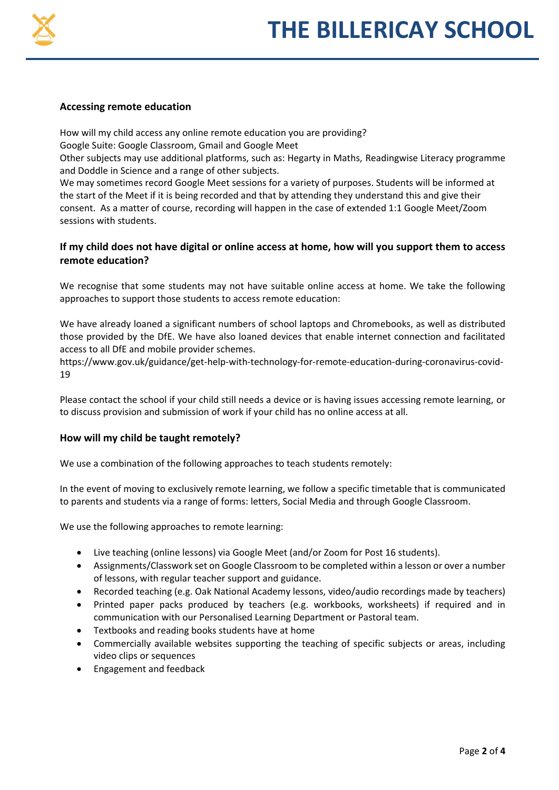

#### **Accessing remote education**

How will my child access any online remote education you are providing?

Google Suite: Google Classroom, Gmail and Google Meet

Other subjects may use additional platforms, such as: Hegarty in Maths, Readingwise Literacy programme and Doddle in Science and a range of other subjects.

We may sometimes record Google Meet sessions for a variety of purposes. Students will be informed at the start of the Meet if it is being recorded and that by attending they understand this and give their consent. As a matter of course, recording will happen in the case of extended 1:1 Google Meet/Zoom sessions with students.

# **If my child does not have digital or online access at home, how will you support them to access remote education?**

We recognise that some students may not have suitable online access at home. We take the following approaches to support those students to access remote education:

We have already loaned a significant numbers of school laptops and Chromebooks, as well as distributed those provided by the DfE. We have also loaned devices that enable internet connection and facilitated access to all DfE and mobile provider schemes.

[https://www.gov.uk/guidance/get-help-with-technology-for-remote-education-during-coronavirus-covid-](https://www.gov.uk/guidance/get-help-with-technology-for-remote-education-during-coronavirus-covid-19)[19](https://www.gov.uk/guidance/get-help-with-technology-for-remote-education-during-coronavirus-covid-19) 

Please contact the school if your child still needs a device or is having issues accessing remote learning, or to discuss provision and submission of work if your child has no online access at all.

# **How will my child be taught remotely?**

We use a combination of the following approaches to teach students remotely:

In the event of moving to exclusively remote learning, we follow a specific timetable that is communicated to parents and students via a range of forms: letters, Social Media and through Google Classroom.

We use the following approaches to remote learning:

- Live teaching (online lessons) via Google Meet (and/or Zoom for Post 16 students).
- Assignments/Classwork set on Google Classroom to be completed within a lesson or over a number of lessons, with regular teacher support and guidance.
- Recorded teaching (e.g. Oak National Academy lessons, video/audio recordings made by teachers)
- Printed paper packs produced by teachers (e.g. workbooks, worksheets) if required and in communication with our Personalised Learning Department or Pastoral team.
- Textbooks and reading books students have at home
- Commercially available websites supporting the teaching of specific subjects or areas, including video clips or sequences
- **•** Engagement and feedback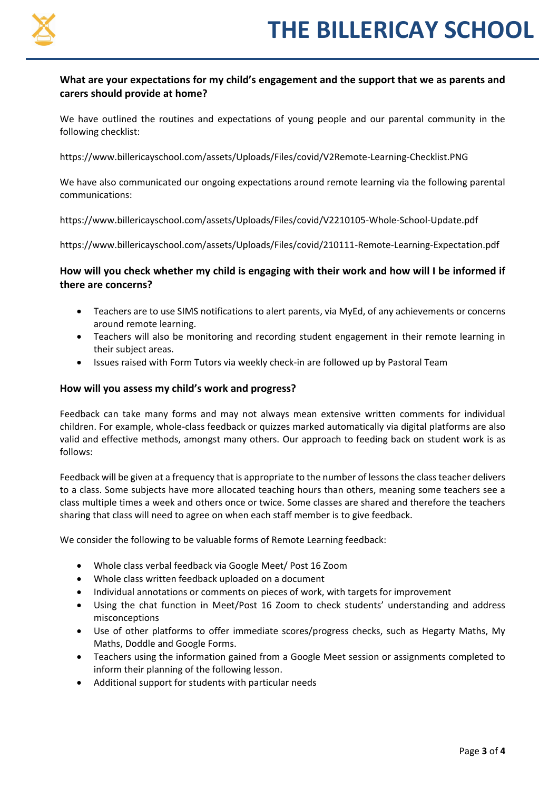

# **What are your expectations for my child's engagement and the support that we as parents and carers should provide at home?**

We have outlined the routines and expectations of young people and our parental community in the following checklist:

<https://www.billericayschool.com/assets/Uploads/Files/covid/V2Remote-Learning-Checklist.PNG>

We have also communicated our ongoing expectations around remote learning via the following parental communications:

<https://www.billericayschool.com/assets/Uploads/Files/covid/V2210105-Whole-School-Update.pdf>

<https://www.billericayschool.com/assets/Uploads/Files/covid/210111-Remote-Learning-Expectation.pdf>

# **How will you check whether my child is engaging with their work and how will I be informed if there are concerns?**

- Teachers are to use SIMS notifications to alert parents, via MyEd, of any achievements or concerns around remote learning.
- Teachers will also be monitoring and recording student engagement in their remote learning in their subject areas.
- Issues raised with Form Tutors via weekly check-in are followed up by Pastoral Team

#### **How will you assess my child's work and progress?**

Feedback can take many forms and may not always mean extensive written comments for individual children. For example, whole-class feedback or quizzes marked automatically via digital platforms are also valid and effective methods, amongst many others. Our approach to feeding back on student work is as follows:

Feedback will be given at a frequency that is appropriate to the number of lessons the class teacher delivers to a class. Some subjects have more allocated teaching hours than others, meaning some teachers see a class multiple times a week and others once or twice. Some classes are shared and therefore the teachers sharing that class will need to agree on when each staff member is to give feedback.

We consider the following to be valuable forms of Remote Learning feedback:

- Whole class verbal feedback via Google Meet/ Post 16 Zoom
- Whole class written feedback uploaded on a document
- Individual annotations or comments on pieces of work, with targets for improvement
- Using the chat function in Meet/Post 16 Zoom to check students' understanding and address misconceptions
- Use of other platforms to offer immediate scores/progress checks, such as Hegarty Maths, My Maths, Doddle and Google Forms.
- Teachers using the information gained from a Google Meet session or assignments completed to inform their planning of the following lesson.
- Additional support for students with particular needs